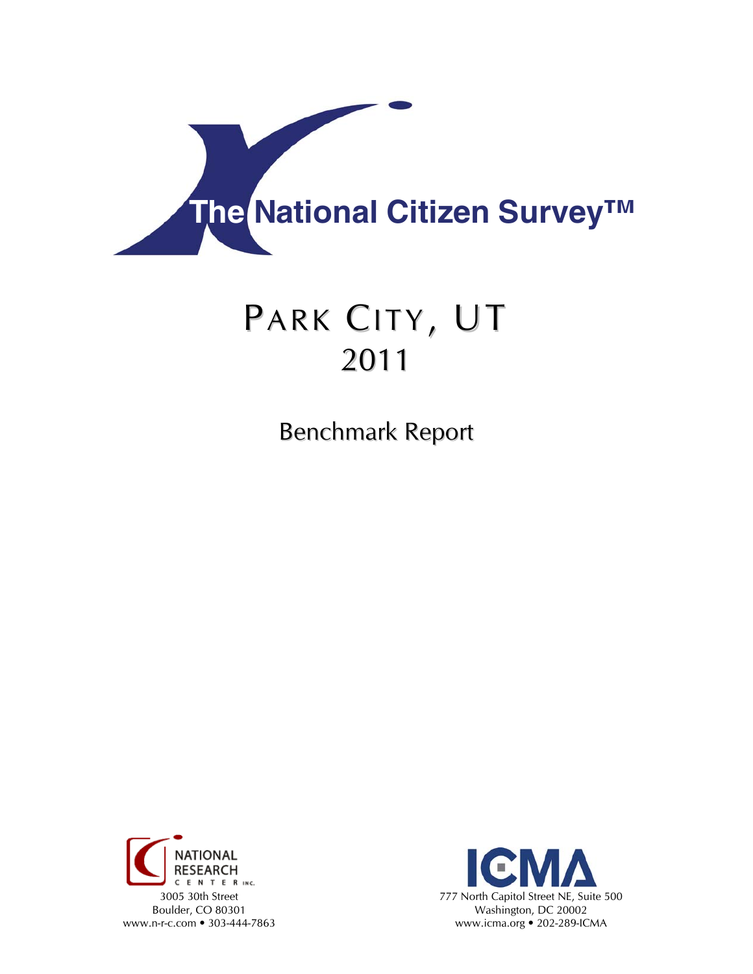

# PARK CITY, UT 2011

Benchmark Report



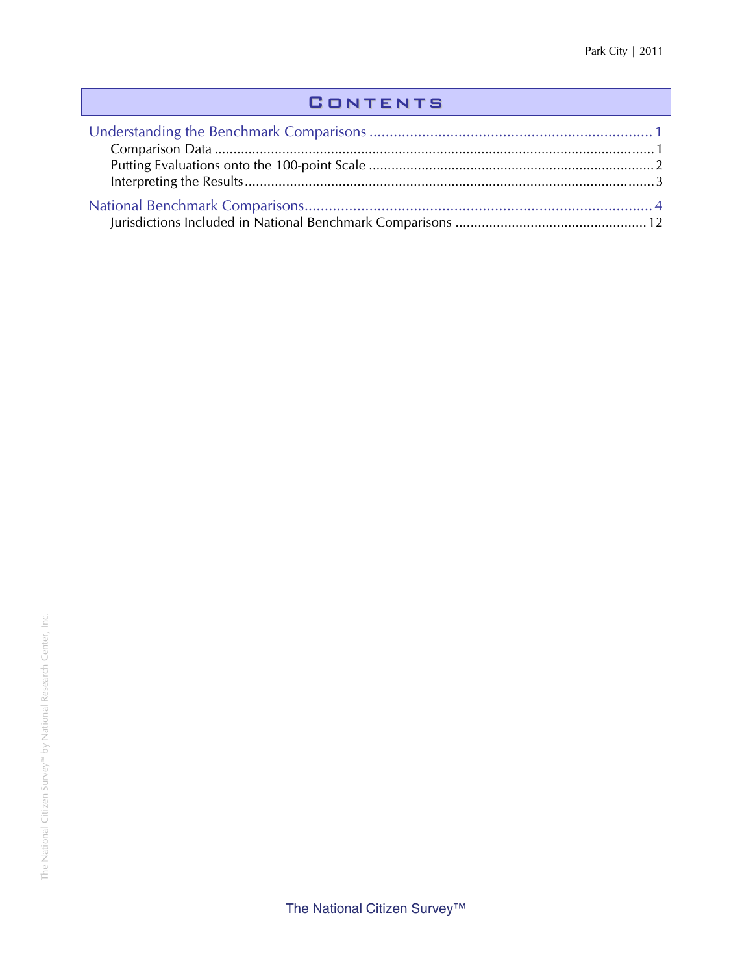## **CONTENTS**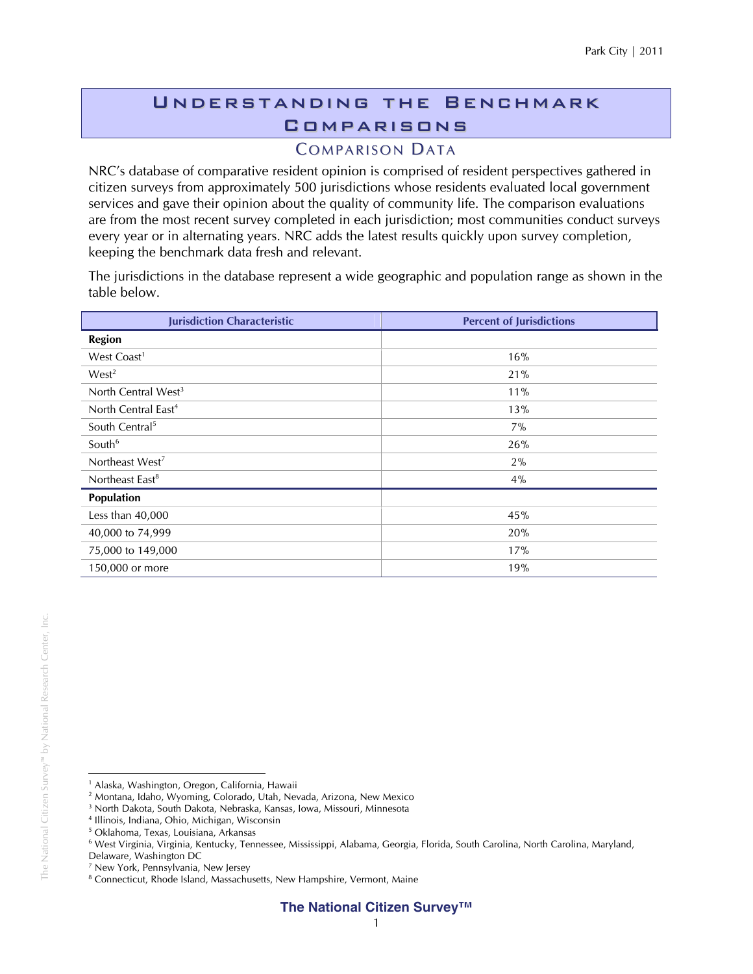# Understanding the Benchmark **COMPARISONS**

### **COMPARISON DATA**

NRC's database of comparative resident opinion is comprised of resident perspectives gathered in citizen surveys from approximately 500 jurisdictions whose residents evaluated local government services and gave their opinion about the quality of community life. The comparison evaluations are from the most recent survey completed in each jurisdiction; most communities conduct surveys every year or in alternating years. NRC adds the latest results quickly upon survey completion, keeping the benchmark data fresh and relevant.

The jurisdictions in the database represent a wide geographic and population range as shown in the table below.

| <b>Jurisdiction Characteristic</b> | <b>Percent of Jurisdictions</b> |
|------------------------------------|---------------------------------|
| <b>Region</b>                      |                                 |
| West Coast <sup>1</sup>            | 16%                             |
| West <sup>2</sup>                  | 21%                             |
| North Central West <sup>3</sup>    | 11%                             |
| North Central East <sup>4</sup>    | 13%                             |
| South Central <sup>5</sup>         | 7%                              |
| South <sup>6</sup>                 | 26%                             |
| Northeast West <sup>7</sup>        | $2\%$                           |
| Northeast East <sup>8</sup>        | 4%                              |
| Population                         |                                 |
| Less than $40,000$                 | 45%                             |
| 40,000 to 74,999                   | 20%                             |
| 75,000 to 149,000                  | 17%                             |
| 150,000 or more                    | 19%                             |

 $\overline{a}$ <sup>1</sup> Alaska, Washington, Oregon, California, Hawaii

<sup>2</sup> Montana, Idaho, Wyoming, Colorado, Utah, Nevada, Arizona, New Mexico

<sup>3</sup> North Dakota, South Dakota, Nebraska, Kansas, Iowa, Missouri, Minnesota

<sup>4</sup> Illinois, Indiana, Ohio, Michigan, Wisconsin

<sup>5</sup> Oklahoma, Texas, Louisiana, Arkansas

<sup>6</sup> West Virginia, Virginia, Kentucky, Tennessee, Mississippi, Alabama, Georgia, Florida, South Carolina, North Carolina, Maryland,

Delaware, Washington DC

<sup>7</sup> New York, Pennsylvania, New Jersey

<sup>&</sup>lt;sup>8</sup> Connecticut, Rhode Island, Massachusetts, New Hampshire, Vermont, Maine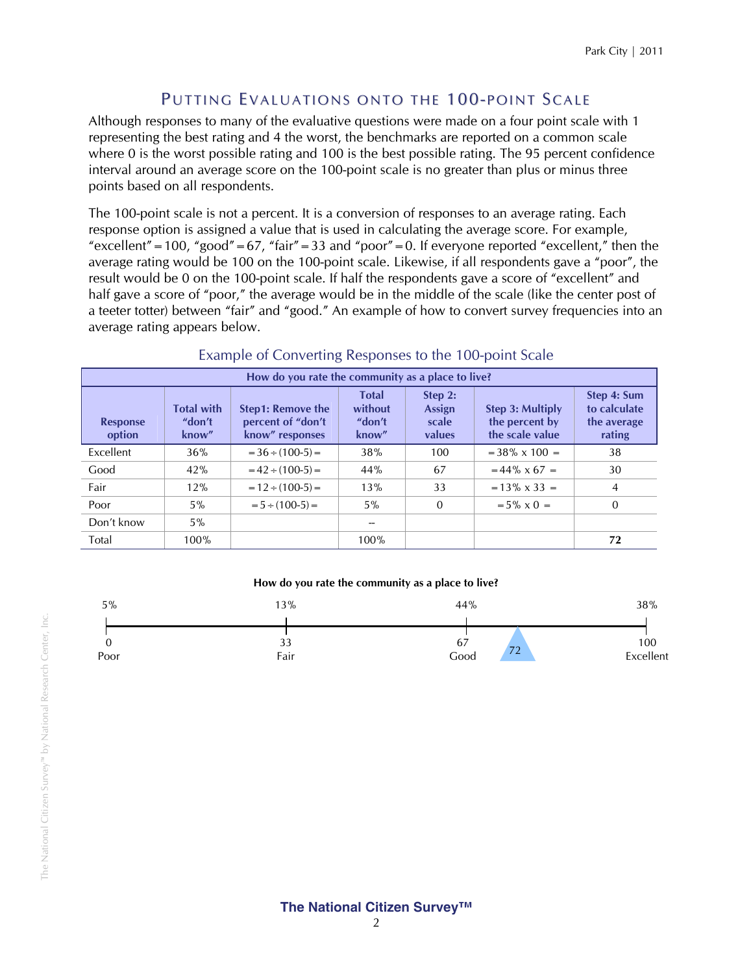### PUTTING EVALUATIONS ONTO THE 100-POINT SCALE

Although responses to many of the evaluative questions were made on a four point scale with 1 representing the best rating and 4 the worst, the benchmarks are reported on a common scale where 0 is the worst possible rating and 100 is the best possible rating. The 95 percent confidence interval around an average score on the 100-point scale is no greater than plus or minus three points based on all respondents.

The 100-point scale is not a percent. It is a conversion of responses to an average rating. Each response option is assigned a value that is used in calculating the average score. For example, "excellent" = 100, "good" = 67, "fair" = 33 and "poor" = 0. If everyone reported "excellent," then the average rating would be 100 on the 100-point scale. Likewise, if all respondents gave a "poor", the result would be 0 on the 100-point scale. If half the respondents gave a score of "excellent" and half gave a score of "poor," the average would be in the middle of the scale (like the center post of a teeter totter) between "fair" and "good." An example of how to convert survey frequencies into an average rating appears below.

| How do you rate the community as a place to live? |                                      |                                                                  |                                            |                                      |                                                       |                                                      |  |  |
|---------------------------------------------------|--------------------------------------|------------------------------------------------------------------|--------------------------------------------|--------------------------------------|-------------------------------------------------------|------------------------------------------------------|--|--|
| <b>Response</b><br>option                         | <b>Total with</b><br>"don't<br>know" | <b>Step1: Remove the</b><br>percent of "don't<br>know" responses | <b>Total</b><br>without<br>"don't<br>know" | Step 2:<br>Assign<br>scale<br>values | Step 3: Multiply<br>the percent by<br>the scale value | Step 4: Sum<br>to calculate<br>the average<br>rating |  |  |
| Excellent                                         | 36%                                  | $= 36 \div (100-5) =$                                            | 38%                                        | 100                                  | $=$ 38% x 100 $=$                                     | 38                                                   |  |  |
| Good                                              | 42%                                  | $= 42 \div (100-5) =$                                            | 44%                                        | 67                                   | $= 44\% \times 67 =$                                  | 30                                                   |  |  |
| Fair                                              | 12%                                  | $= 12 \div (100-5) =$                                            | 13%                                        | 33                                   | $= 13\% \times 33 =$                                  | 4                                                    |  |  |
| Poor                                              | $5\%$                                | $= 5 \div (100-5) =$                                             | $5\%$                                      | $\mathbf{0}$                         | $= 5\% \times 0 =$                                    | $\Omega$                                             |  |  |
| Don't know                                        | $5\%$                                |                                                                  |                                            |                                      |                                                       |                                                      |  |  |
| Total                                             | 100%                                 |                                                                  | 100%                                       |                                      |                                                       | 72                                                   |  |  |

#### Example of Converting Responses to the 100-point Scale

#### **How do you rate the community as a place to live?**

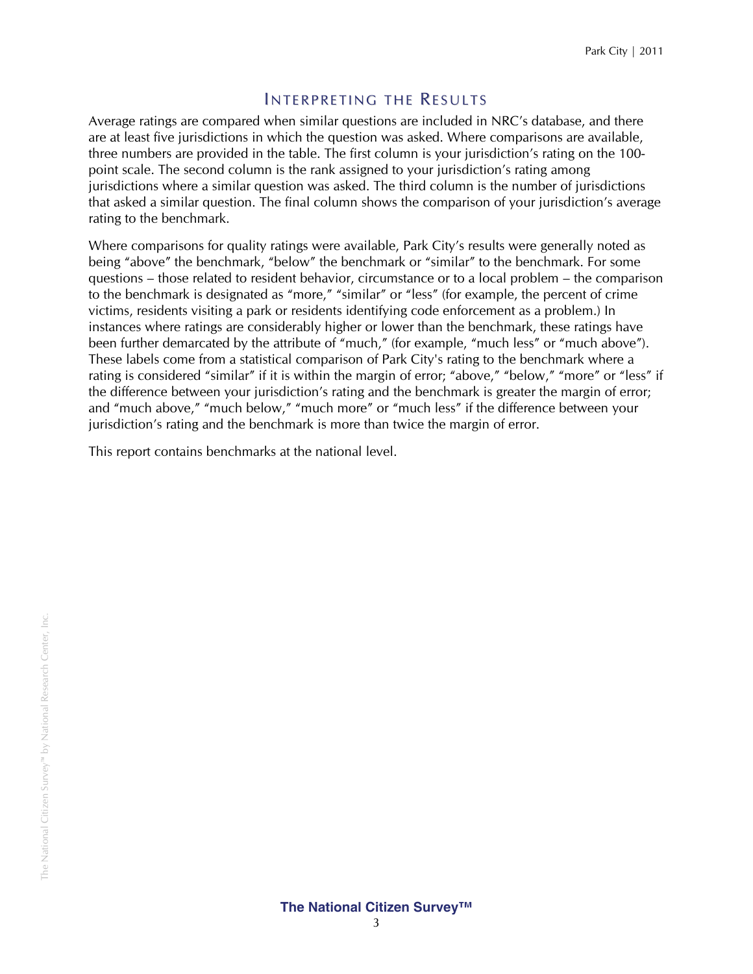#### INTERPRETING THE RESULTS

Average ratings are compared when similar questions are included in NRC's database, and there are at least five jurisdictions in which the question was asked. Where comparisons are available, three numbers are provided in the table. The first column is your jurisdiction's rating on the 100 point scale. The second column is the rank assigned to your jurisdiction's rating among jurisdictions where a similar question was asked. The third column is the number of jurisdictions that asked a similar question. The final column shows the comparison of your jurisdiction's average rating to the benchmark.

Where comparisons for quality ratings were available, Park City's results were generally noted as being "above" the benchmark, "below" the benchmark or "similar" to the benchmark. For some questions – those related to resident behavior, circumstance or to a local problem – the comparison to the benchmark is designated as "more," "similar" or "less" (for example, the percent of crime victims, residents visiting a park or residents identifying code enforcement as a problem.) In instances where ratings are considerably higher or lower than the benchmark, these ratings have been further demarcated by the attribute of "much," (for example, "much less" or "much above"). These labels come from a statistical comparison of Park City's rating to the benchmark where a rating is considered "similar" if it is within the margin of error; "above," "below," "more" or "less" if the difference between your jurisdiction's rating and the benchmark is greater the margin of error; and "much above," "much below," "much more" or "much less" if the difference between your jurisdiction's rating and the benchmark is more than twice the margin of error.

This report contains benchmarks at the national level.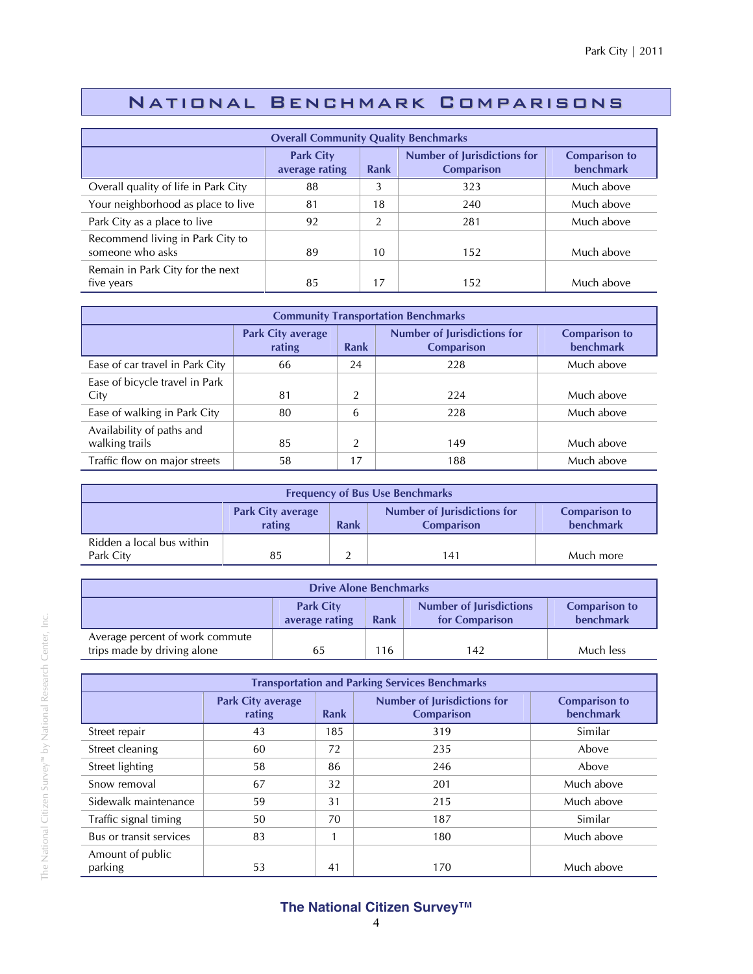# National Benchmark Comparisons

| <b>Overall Community Quality Benchmarks</b>          |                                          |                |     |            |  |  |
|------------------------------------------------------|------------------------------------------|----------------|-----|------------|--|--|
|                                                      | <b>Comparison to</b><br><b>benchmark</b> |                |     |            |  |  |
| Overall quality of life in Park City                 | 88                                       | 3              | 323 | Much above |  |  |
| Your neighborhood as place to live                   | 81                                       | 18             | 240 | Much above |  |  |
| Park City as a place to live                         | 92                                       | $\overline{2}$ | 281 | Much above |  |  |
| Recommend living in Park City to<br>someone who asks | 89                                       | 10             | 152 | Much above |  |  |
| Remain in Park City for the next<br>five years       | 85                                       | 17             | 152 | Much above |  |  |

| <b>Community Transportation Benchmarks</b>  |                                    |                |                                                         |                                   |  |  |
|---------------------------------------------|------------------------------------|----------------|---------------------------------------------------------|-----------------------------------|--|--|
|                                             | <b>Park City average</b><br>rating | <b>Rank</b>    | <b>Number of Jurisdictions for</b><br><b>Comparison</b> | <b>Comparison to</b><br>benchmark |  |  |
| Ease of car travel in Park City             | 66                                 | 24             | 228                                                     | Much above                        |  |  |
| Ease of bicycle travel in Park<br>City      | 81                                 | $\mathfrak{D}$ | 224                                                     | Much above                        |  |  |
| Ease of walking in Park City                | 80                                 | 6              | 228                                                     | Much above                        |  |  |
| Availability of paths and<br>walking trails | 85                                 | $\mathfrak{D}$ | 149                                                     | Much above                        |  |  |
| Traffic flow on major streets               | 58                                 | 17             | 188                                                     | Much above                        |  |  |

| <b>Frequency of Bus Use Benchmarks</b>                                                                                                     |    |  |     |           |  |  |
|--------------------------------------------------------------------------------------------------------------------------------------------|----|--|-----|-----------|--|--|
| <b>Number of Jurisdictions for</b><br><b>Comparison to</b><br><b>Park City average</b><br>benchmark<br>Rank<br>rating<br><b>Comparison</b> |    |  |     |           |  |  |
| Ridden a local bus within<br>Park City                                                                                                     | 85 |  | 141 | Much more |  |  |

| <b>Drive Alone Benchmarks</b>                                                                                                       |    |     |     |           |  |  |
|-------------------------------------------------------------------------------------------------------------------------------------|----|-----|-----|-----------|--|--|
| <b>Number of Jurisdictions</b><br><b>Park City</b><br><b>Comparison to</b><br>benchmark<br>for Comparison<br>average rating<br>Rank |    |     |     |           |  |  |
| Average percent of work commute<br>trips made by driving alone                                                                      | 65 | 116 | 142 | Much less |  |  |

| <b>Transportation and Parking Services Benchmarks</b> |                                    |      |                                                         |                                          |  |  |  |
|-------------------------------------------------------|------------------------------------|------|---------------------------------------------------------|------------------------------------------|--|--|--|
|                                                       | <b>Park City average</b><br>rating | Rank | <b>Number of Jurisdictions for</b><br><b>Comparison</b> | <b>Comparison to</b><br><b>benchmark</b> |  |  |  |
| Street repair                                         | 43                                 | 185  | 319                                                     | Similar                                  |  |  |  |
| Street cleaning                                       | 60                                 | 72   | 235                                                     | Above                                    |  |  |  |
| Street lighting                                       | 58                                 | 86   | 246                                                     | Above                                    |  |  |  |
| Snow removal                                          | 67                                 | 32   | 201                                                     | Much above                               |  |  |  |
| Sidewalk maintenance                                  | 59                                 | 31   | 215                                                     | Much above                               |  |  |  |
| Traffic signal timing                                 | 50                                 | 70   | 187                                                     | Similar                                  |  |  |  |
| Bus or transit services                               | 83                                 |      | 180                                                     | Much above                               |  |  |  |
| Amount of public<br>parking                           | 53                                 | 41   | 170                                                     | Much above                               |  |  |  |

#### **The National Citizen Survey™**  4

The National Citizen Survey™ by National Research Center, Inc.

The National Citizen Survey<sup>nu</sup> by National Research Center, Inc.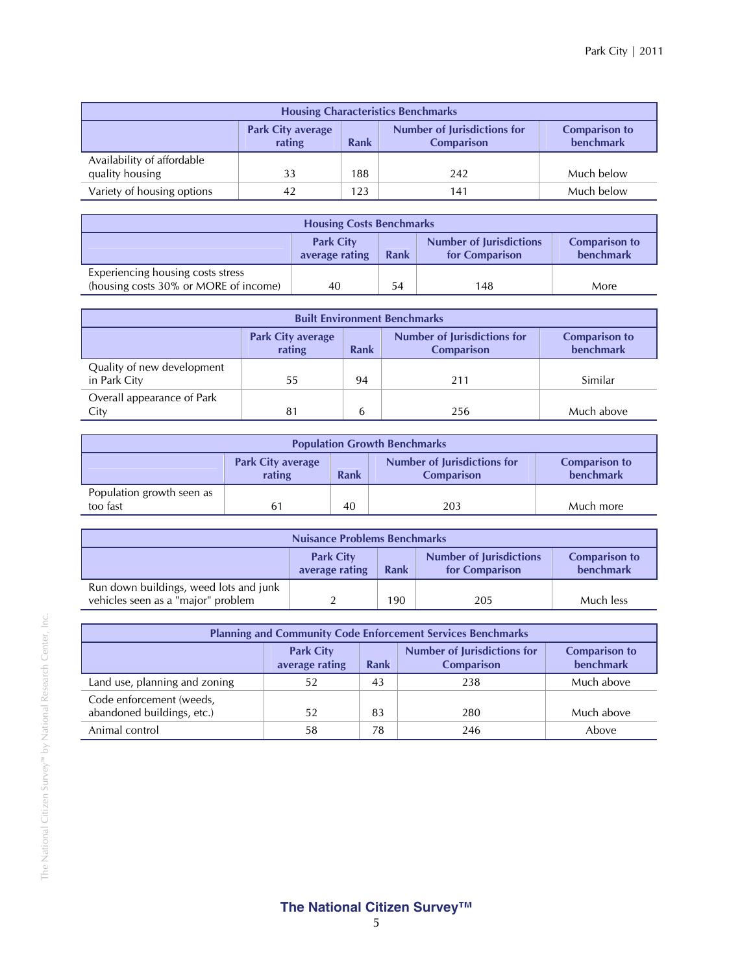| <b>Housing Characteristics Benchmarks</b>                                                                                                         |    |     |     |            |  |  |
|---------------------------------------------------------------------------------------------------------------------------------------------------|----|-----|-----|------------|--|--|
| <b>Number of Jurisdictions for</b><br><b>Park City average</b><br><b>Comparison to</b><br><b>benchmark</b><br>rating<br>Rank<br><b>Comparison</b> |    |     |     |            |  |  |
| Availability of affordable<br>quality housing                                                                                                     | 33 | 188 | 242 | Much below |  |  |
| Much below<br>Variety of housing options<br>123<br>141                                                                                            |    |     |     |            |  |  |

| <b>Housing Costs Benchmarks</b>                                                                                                     |    |    |     |      |  |
|-------------------------------------------------------------------------------------------------------------------------------------|----|----|-----|------|--|
| <b>Number of Jurisdictions</b><br><b>Park City</b><br><b>Comparison to</b><br>benchmark<br>Rank<br>for Comparison<br>average rating |    |    |     |      |  |
| Experiencing housing costs stress<br>(housing costs 30% or MORE of income)                                                          | 40 | 54 | 148 | More |  |

| <b>Built Environment Benchmarks</b>                                                                                                        |    |    |     |            |  |  |
|--------------------------------------------------------------------------------------------------------------------------------------------|----|----|-----|------------|--|--|
| <b>Number of Jurisdictions for</b><br><b>Park City average</b><br><b>Comparison to</b><br>benchmark<br>rating<br>Rank<br><b>Comparison</b> |    |    |     |            |  |  |
| Quality of new development<br>in Park City                                                                                                 | 55 | 94 | 211 | Similar    |  |  |
| Overall appearance of Park<br>City                                                                                                         | 81 | 6  | 256 | Much above |  |  |

| <b>Population Growth Benchmarks</b>                                                                                                 |  |    |     |           |  |  |
|-------------------------------------------------------------------------------------------------------------------------------------|--|----|-----|-----------|--|--|
| Number of Jurisdictions for<br><b>Comparison to</b><br><b>Park City average</b><br>rating<br>benchmark<br>Rank<br><b>Comparison</b> |  |    |     |           |  |  |
| Population growth seen as<br>too fast                                                                                               |  | 40 | 203 | Much more |  |  |

| <b>Nuisance Problems Benchmarks</b>                                          |                                                                                                                                     |     |     |           |  |  |
|------------------------------------------------------------------------------|-------------------------------------------------------------------------------------------------------------------------------------|-----|-----|-----------|--|--|
|                                                                              | <b>Number of Jurisdictions</b><br><b>Park City</b><br><b>Comparison to</b><br>benchmark<br>average rating<br>Rank<br>for Comparison |     |     |           |  |  |
| Run down buildings, weed lots and junk<br>vehicles seen as a "major" problem |                                                                                                                                     | 190 | 205 | Much less |  |  |

| <b>Planning and Community Code Enforcement Services Benchmarks</b>                                                                         |    |    |     |            |  |  |
|--------------------------------------------------------------------------------------------------------------------------------------------|----|----|-----|------------|--|--|
| <b>Number of Jurisdictions for</b><br><b>Park City</b><br><b>Comparison to</b><br>benchmark<br><b>Comparison</b><br>average rating<br>Rank |    |    |     |            |  |  |
| Land use, planning and zoning                                                                                                              | 52 | 43 | 238 | Much above |  |  |
| Code enforcement (weeds,<br>abandoned buildings, etc.)                                                                                     | 52 | 83 | 280 | Much above |  |  |
| Animal control                                                                                                                             | 58 | 78 | 246 | Above      |  |  |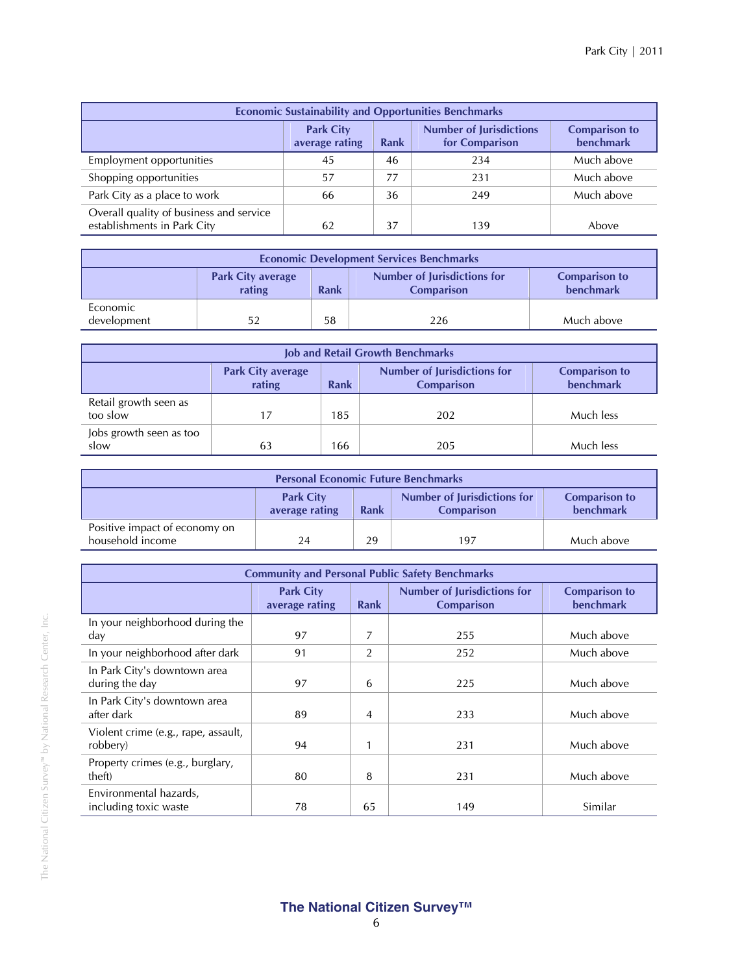| <b>Economic Sustainability and Opportunities Benchmarks</b>            |                                                                                                                                     |    |     |            |  |  |  |
|------------------------------------------------------------------------|-------------------------------------------------------------------------------------------------------------------------------------|----|-----|------------|--|--|--|
|                                                                        | <b>Number of Jurisdictions</b><br><b>Park City</b><br><b>Comparison to</b><br>benchmark<br>for Comparison<br>Rank<br>average rating |    |     |            |  |  |  |
| Employment opportunities                                               | 45                                                                                                                                  | 46 | 234 | Much above |  |  |  |
| Shopping opportunities                                                 | 57                                                                                                                                  | 77 | 231 | Much above |  |  |  |
| Park City as a place to work                                           | 66                                                                                                                                  | 36 | 249 | Much above |  |  |  |
| Overall quality of business and service<br>establishments in Park City | 62                                                                                                                                  | 37 | 139 | Above      |  |  |  |

| <b>Economic Development Services Benchmarks</b>                                                                                            |    |    |     |            |  |  |  |
|--------------------------------------------------------------------------------------------------------------------------------------------|----|----|-----|------------|--|--|--|
| <b>Number of Jurisdictions for</b><br><b>Park City average</b><br><b>Comparison to</b><br>rating<br>benchmark<br>Rank<br><b>Comparison</b> |    |    |     |            |  |  |  |
| Economic<br>development                                                                                                                    | 52 | 58 | 226 | Much above |  |  |  |

| <b>Job and Retail Growth Benchmarks</b> |                                    |                                   |     |           |  |  |  |
|-----------------------------------------|------------------------------------|-----------------------------------|-----|-----------|--|--|--|
|                                         | <b>Park City average</b><br>rating | <b>Comparison to</b><br>benchmark |     |           |  |  |  |
| Retail growth seen as<br>too slow       | 17                                 | 185                               | 202 | Much less |  |  |  |
| Jobs growth seen as too<br>slow         | 63                                 | 166                               | 205 | Much less |  |  |  |

| <b>Personal Economic Future Benchmarks</b>        |                                                                                                                                                   |    |     |            |  |  |
|---------------------------------------------------|---------------------------------------------------------------------------------------------------------------------------------------------------|----|-----|------------|--|--|
|                                                   | <b>Park City</b><br><b>Number of Jurisdictions for</b><br><b>Comparison to</b><br><b>benchmark</b><br>Rank<br>average rating<br><b>Comparison</b> |    |     |            |  |  |
| Positive impact of economy on<br>household income | 24                                                                                                                                                | 29 | 197 | Much above |  |  |

| <b>Community and Personal Public Safety Benchmarks</b> |                                    |              |                                                         |                                          |  |  |
|--------------------------------------------------------|------------------------------------|--------------|---------------------------------------------------------|------------------------------------------|--|--|
|                                                        | <b>Park City</b><br>average rating | <b>Rank</b>  | <b>Number of Jurisdictions for</b><br><b>Comparison</b> | <b>Comparison to</b><br><b>benchmark</b> |  |  |
| In your neighborhood during the<br>day                 | 97                                 | 7            | 255                                                     | Much above                               |  |  |
| In your neighborhood after dark                        | 91                                 | 2            | 252                                                     | Much above                               |  |  |
| In Park City's downtown area<br>during the day         | 97                                 | 6            | 225                                                     | Much above                               |  |  |
| In Park City's downtown area<br>after dark             | 89                                 | 4            | 233                                                     | Much above                               |  |  |
| Violent crime (e.g., rape, assault,<br>robbery)        | 94                                 | $\mathbf{1}$ | 231                                                     | Much above                               |  |  |
| Property crimes (e.g., burglary,<br>theft)             | 80                                 | 8            | 231                                                     | Much above                               |  |  |
| Environmental hazards,<br>including toxic waste        | 78                                 | 65           | 149                                                     | Similar                                  |  |  |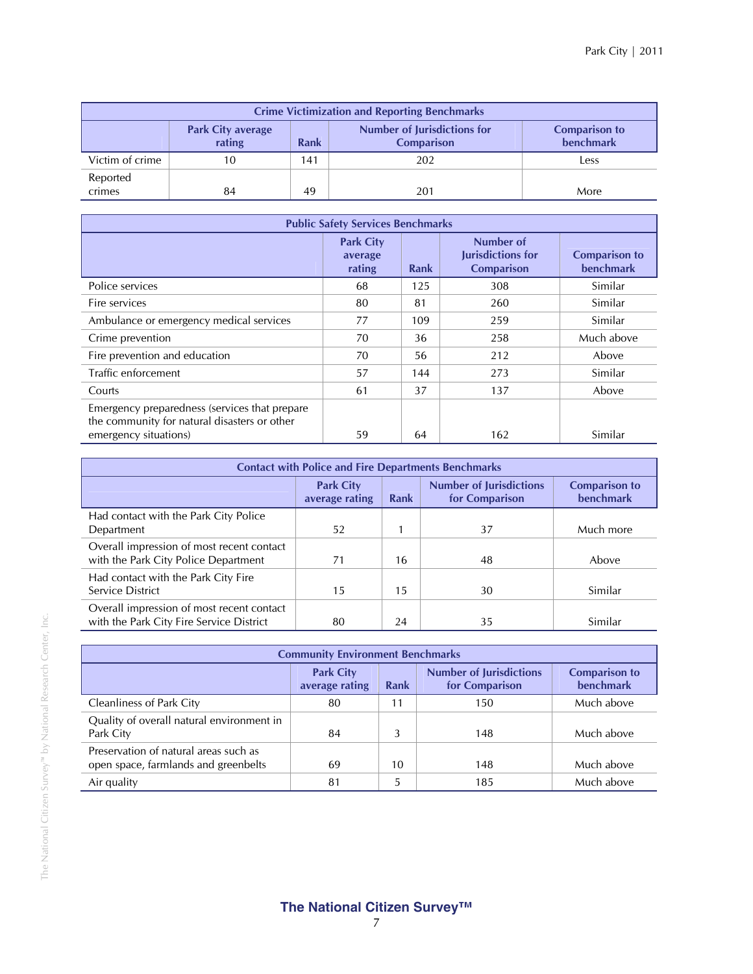| <b>Crime Victimization and Reporting Benchmarks</b>                                                                                        |    |     |     |      |  |  |  |
|--------------------------------------------------------------------------------------------------------------------------------------------|----|-----|-----|------|--|--|--|
| Number of Jurisdictions for<br><b>Park City average</b><br><b>Comparison to</b><br><b>benchmark</b><br>rating<br>Rank<br><b>Comparison</b> |    |     |     |      |  |  |  |
| Victim of crime                                                                                                                            | 10 | 141 | 202 | Less |  |  |  |
| Reported<br>crimes                                                                                                                         | 84 | 49  | 201 | More |  |  |  |

| <b>Public Safety Services Benchmarks</b>                                                                               |                                       |      |                                                            |                                   |  |  |
|------------------------------------------------------------------------------------------------------------------------|---------------------------------------|------|------------------------------------------------------------|-----------------------------------|--|--|
|                                                                                                                        | <b>Park City</b><br>average<br>rating | Rank | Number of<br><b>Jurisdictions for</b><br><b>Comparison</b> | <b>Comparison to</b><br>benchmark |  |  |
| Police services                                                                                                        | 68                                    | 125  | 308                                                        | Similar                           |  |  |
| Fire services                                                                                                          | 80                                    | 81   | 260                                                        | Similar                           |  |  |
| Ambulance or emergency medical services                                                                                | 77                                    | 109  | 259                                                        | Similar                           |  |  |
| Crime prevention                                                                                                       | 70                                    | 36   | 258                                                        | Much above                        |  |  |
| Fire prevention and education                                                                                          | 70                                    | 56   | 212                                                        | Above                             |  |  |
| Traffic enforcement                                                                                                    | 57                                    | 144  | 273                                                        | Similar                           |  |  |
| Courts                                                                                                                 | 61                                    | 37   | 137                                                        | Above                             |  |  |
| Emergency preparedness (services that prepare<br>the community for natural disasters or other<br>emergency situations) | 59                                    | 64   | 162                                                        | Similar                           |  |  |

| <b>Contact with Police and Fire Departments Benchmarks</b>                            |                                    |      |                                                  |                                   |  |  |
|---------------------------------------------------------------------------------------|------------------------------------|------|--------------------------------------------------|-----------------------------------|--|--|
|                                                                                       | <b>Park City</b><br>average rating | Rank | <b>Number of Jurisdictions</b><br>for Comparison | <b>Comparison to</b><br>benchmark |  |  |
| Had contact with the Park City Police<br>Department                                   | 52                                 |      | 37                                               | Much more                         |  |  |
| Overall impression of most recent contact<br>with the Park City Police Department     | 71                                 | 16   | 48                                               | Above                             |  |  |
| Had contact with the Park City Fire<br>Service District                               | 15                                 | 15   | 30                                               | Similar                           |  |  |
| Overall impression of most recent contact<br>with the Park City Fire Service District | 80                                 | 24   | 35                                               | Similar                           |  |  |

| <b>Community Environment Benchmarks</b>                                       |                                                                                                                                     |    |     |            |  |  |
|-------------------------------------------------------------------------------|-------------------------------------------------------------------------------------------------------------------------------------|----|-----|------------|--|--|
|                                                                               | <b>Number of Jurisdictions</b><br><b>Park City</b><br><b>Comparison to</b><br>benchmark<br>for Comparison<br>average rating<br>Rank |    |     |            |  |  |
| <b>Cleanliness of Park City</b>                                               | 80                                                                                                                                  | ำ  | 150 | Much above |  |  |
| Quality of overall natural environment in<br>Park City                        | 84                                                                                                                                  |    | 148 | Much above |  |  |
| Preservation of natural areas such as<br>open space, farmlands and greenbelts | 69                                                                                                                                  | 10 | 148 | Much above |  |  |
| Air quality                                                                   | 81                                                                                                                                  | b. | 185 | Much above |  |  |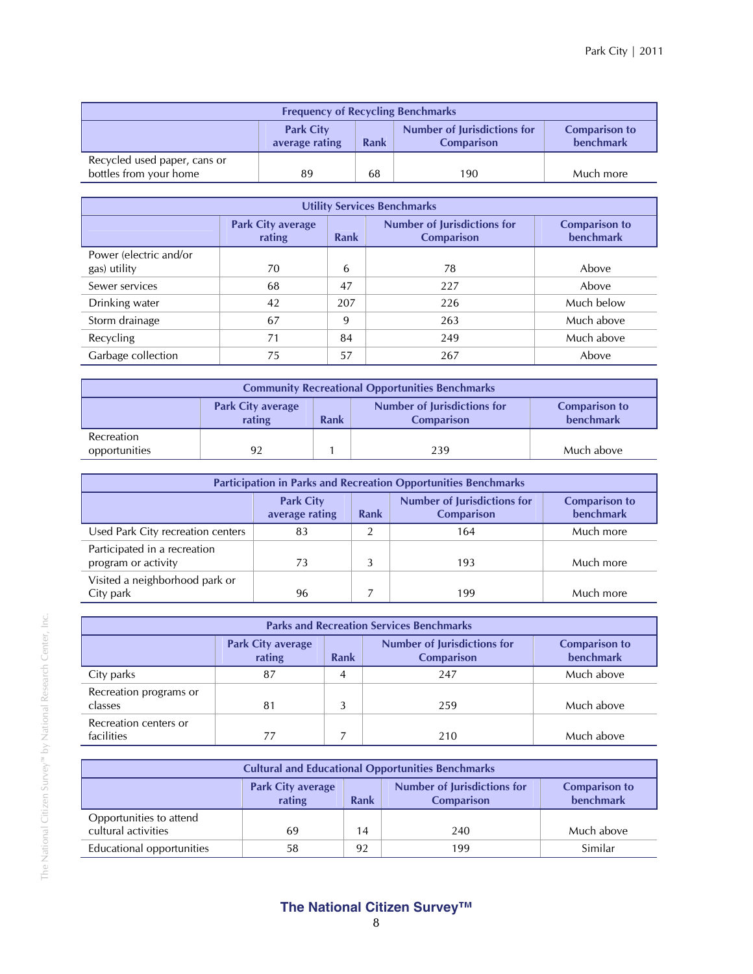| <b>Frequency of Recycling Benchmarks</b>                                                                                                   |    |    |     |           |  |  |
|--------------------------------------------------------------------------------------------------------------------------------------------|----|----|-----|-----------|--|--|
| Number of Jurisdictions for<br><b>Park City</b><br><b>Comparison to</b><br><b>benchmark</b><br>Rank<br>average rating<br><b>Comparison</b> |    |    |     |           |  |  |
| Recycled used paper, cans or<br>bottles from your home                                                                                     | 89 | 68 | 190 | Much more |  |  |

| <b>Utility Services Benchmarks</b>     |                                    |             |                                                         |                                   |  |  |  |
|----------------------------------------|------------------------------------|-------------|---------------------------------------------------------|-----------------------------------|--|--|--|
|                                        | <b>Park City average</b><br>rating | <b>Rank</b> | <b>Number of Jurisdictions for</b><br><b>Comparison</b> | <b>Comparison to</b><br>benchmark |  |  |  |
| Power (electric and/or<br>gas) utility | 70                                 | 6           | 78                                                      | Above                             |  |  |  |
| Sewer services                         | 68                                 | 47          | 227                                                     | Above                             |  |  |  |
| Drinking water                         | 42                                 | 207         | 226                                                     | Much below                        |  |  |  |
| Storm drainage                         | 67                                 | 9           | 263                                                     | Much above                        |  |  |  |
| Recycling                              | 71                                 | 84          | 249                                                     | Much above                        |  |  |  |
| Garbage collection                     | 75                                 | 57          | 267                                                     | Above                             |  |  |  |

| <b>Community Recreational Opportunities Benchmarks</b>                                                                                            |    |  |     |            |  |  |
|---------------------------------------------------------------------------------------------------------------------------------------------------|----|--|-----|------------|--|--|
| <b>Number of Jurisdictions for</b><br><b>Park City average</b><br><b>Comparison to</b><br>benchmark<br>rating<br><b>Rank</b><br><b>Comparison</b> |    |  |     |            |  |  |
| Recreation<br>opportunities                                                                                                                       | 92 |  | 239 | Much above |  |  |

| <b>Participation in Parks and Recreation Opportunities Benchmarks</b> |                                                                                                                                                   |  |     |           |  |  |
|-----------------------------------------------------------------------|---------------------------------------------------------------------------------------------------------------------------------------------------|--|-----|-----------|--|--|
|                                                                       | <b>Number of Jurisdictions for</b><br><b>Park City</b><br><b>Comparison to</b><br>benchmark<br>average rating<br><b>Rank</b><br><b>Comparison</b> |  |     |           |  |  |
| Used Park City recreation centers                                     | 83                                                                                                                                                |  | 164 | Much more |  |  |
| Participated in a recreation<br>program or activity                   | 73                                                                                                                                                |  | 193 | Much more |  |  |
| Visited a neighborhood park or<br>City park                           | 96                                                                                                                                                |  | 199 | Much more |  |  |

| <b>Parks and Recreation Services Benchmarks</b> |                                                                                                                                                   |  |     |            |  |  |  |
|-------------------------------------------------|---------------------------------------------------------------------------------------------------------------------------------------------------|--|-----|------------|--|--|--|
|                                                 | <b>Number of Jurisdictions for</b><br><b>Comparison to</b><br><b>Park City average</b><br>benchmark<br>rating<br><b>Rank</b><br><b>Comparison</b> |  |     |            |  |  |  |
| City parks                                      | 87                                                                                                                                                |  | 247 | Much above |  |  |  |
| Recreation programs or<br>classes               | 81                                                                                                                                                |  | 259 | Much above |  |  |  |
| Recreation centers or<br>facilities             | 77                                                                                                                                                |  | 210 | Much above |  |  |  |

| <b>Cultural and Educational Opportunities Benchmarks</b>                                                                                   |    |    |     |            |  |
|--------------------------------------------------------------------------------------------------------------------------------------------|----|----|-----|------------|--|
| <b>Number of Jurisdictions for</b><br><b>Park City average</b><br><b>Comparison to</b><br>benchmark<br>rating<br>Rank<br><b>Comparison</b> |    |    |     |            |  |
| Opportunities to attend<br>cultural activities                                                                                             | 69 | 14 | 240 | Much above |  |
| Educational opportunities                                                                                                                  | 58 | 92 | 199 | Similar    |  |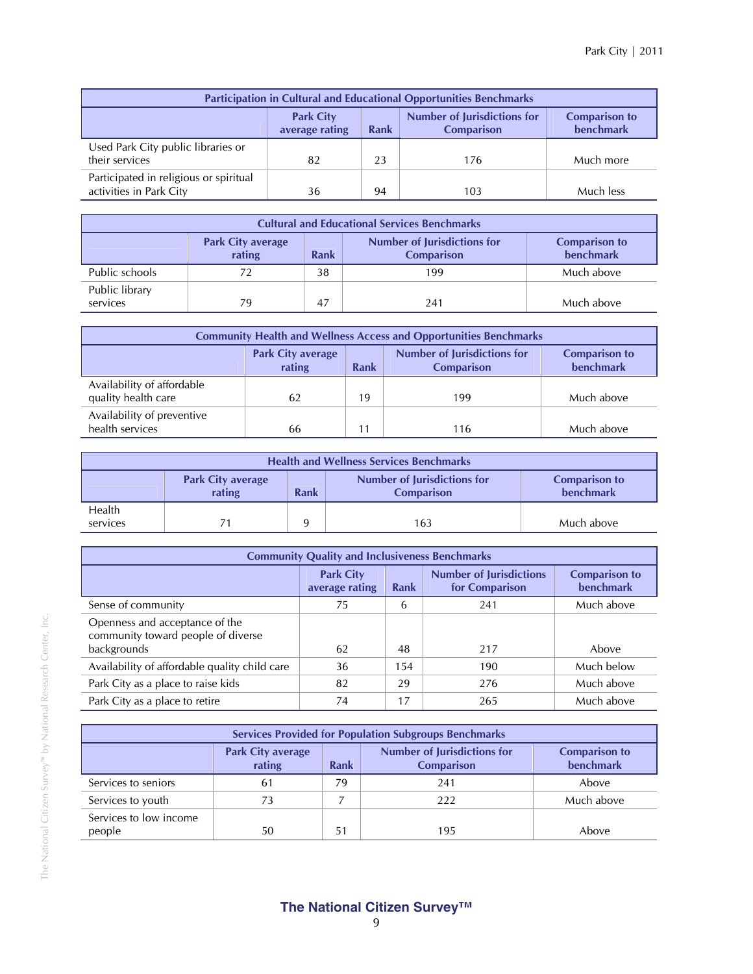| <b>Participation in Cultural and Educational Opportunities Benchmarks</b>                                                                         |    |    |     |           |  |  |
|---------------------------------------------------------------------------------------------------------------------------------------------------|----|----|-----|-----------|--|--|
| <b>Park City</b><br><b>Number of Jurisdictions for</b><br><b>Comparison to</b><br><b>benchmark</b><br>average rating<br>Rank<br><b>Comparison</b> |    |    |     |           |  |  |
| Used Park City public libraries or<br>their services                                                                                              | 82 | 23 | 176 | Much more |  |  |
| Participated in religious or spiritual<br>activities in Park City                                                                                 | 36 | 94 | 103 | Much less |  |  |

| <b>Cultural and Educational Services Benchmarks</b> |                                                                                                                                                   |    |     |            |  |  |  |
|-----------------------------------------------------|---------------------------------------------------------------------------------------------------------------------------------------------------|----|-----|------------|--|--|--|
|                                                     | <b>Number of Jurisdictions for</b><br><b>Park City average</b><br><b>Comparison to</b><br><b>benchmark</b><br>rating<br><b>Comparison</b><br>Rank |    |     |            |  |  |  |
| Public schools                                      | 72                                                                                                                                                | 38 | 199 | Much above |  |  |  |
| Public library<br>services                          | 79                                                                                                                                                | 47 | 241 | Much above |  |  |  |

| <b>Community Health and Wellness Access and Opportunities Benchmarks</b> |                                                                                                                                                   |    |     |            |  |  |
|--------------------------------------------------------------------------|---------------------------------------------------------------------------------------------------------------------------------------------------|----|-----|------------|--|--|
|                                                                          | <b>Number of Jurisdictions for</b><br><b>Park City average</b><br><b>Comparison to</b><br><b>benchmark</b><br>Rank<br>rating<br><b>Comparison</b> |    |     |            |  |  |
| Availability of affordable<br>quality health care                        | 62                                                                                                                                                | 19 | 199 | Much above |  |  |
| Availability of preventive<br>health services                            | 66                                                                                                                                                |    | 116 | Much above |  |  |

| <b>Health and Wellness Services Benchmarks</b> |                                                                                                                                     |  |     |            |  |  |  |
|------------------------------------------------|-------------------------------------------------------------------------------------------------------------------------------------|--|-----|------------|--|--|--|
|                                                | Number of Jurisdictions for<br><b>Comparison to</b><br><b>Park City average</b><br>benchmark<br>rating<br>Rank<br><b>Comparison</b> |  |     |            |  |  |  |
| <b>Health</b><br>services                      |                                                                                                                                     |  | 163 | Much above |  |  |  |

| <b>Community Quality and Inclusiveness Benchmarks</b>                               |                                    |             |                                                  |                                          |  |  |
|-------------------------------------------------------------------------------------|------------------------------------|-------------|--------------------------------------------------|------------------------------------------|--|--|
|                                                                                     | <b>Park City</b><br>average rating | <b>Rank</b> | <b>Number of Jurisdictions</b><br>for Comparison | <b>Comparison to</b><br><b>benchmark</b> |  |  |
| Sense of community                                                                  | 75                                 | 6           | 241                                              | Much above                               |  |  |
| Openness and acceptance of the<br>community toward people of diverse<br>backgrounds | 62                                 | 48          | 217                                              | Above                                    |  |  |
| Availability of affordable quality child care                                       | 36                                 | 154         | 190                                              | Much below                               |  |  |
| Park City as a place to raise kids                                                  | 82                                 | 29          | 276                                              | Much above                               |  |  |
| Park City as a place to retire                                                      | 74                                 | 17          | 265                                              | Much above                               |  |  |

| <b>Services Provided for Population Subgroups Benchmarks</b> |                                                                                                                                            |    |     |            |  |  |  |
|--------------------------------------------------------------|--------------------------------------------------------------------------------------------------------------------------------------------|----|-----|------------|--|--|--|
|                                                              | <b>Number of Jurisdictions for</b><br><b>Park City average</b><br><b>Comparison to</b><br>benchmark<br>rating<br><b>Comparison</b><br>Rank |    |     |            |  |  |  |
| Services to seniors                                          | 61                                                                                                                                         | 79 | 241 | Above      |  |  |  |
| Services to youth                                            | 73                                                                                                                                         |    | 222 | Much above |  |  |  |
| Services to low income<br>people                             | 50                                                                                                                                         | 51 | 195 | Above      |  |  |  |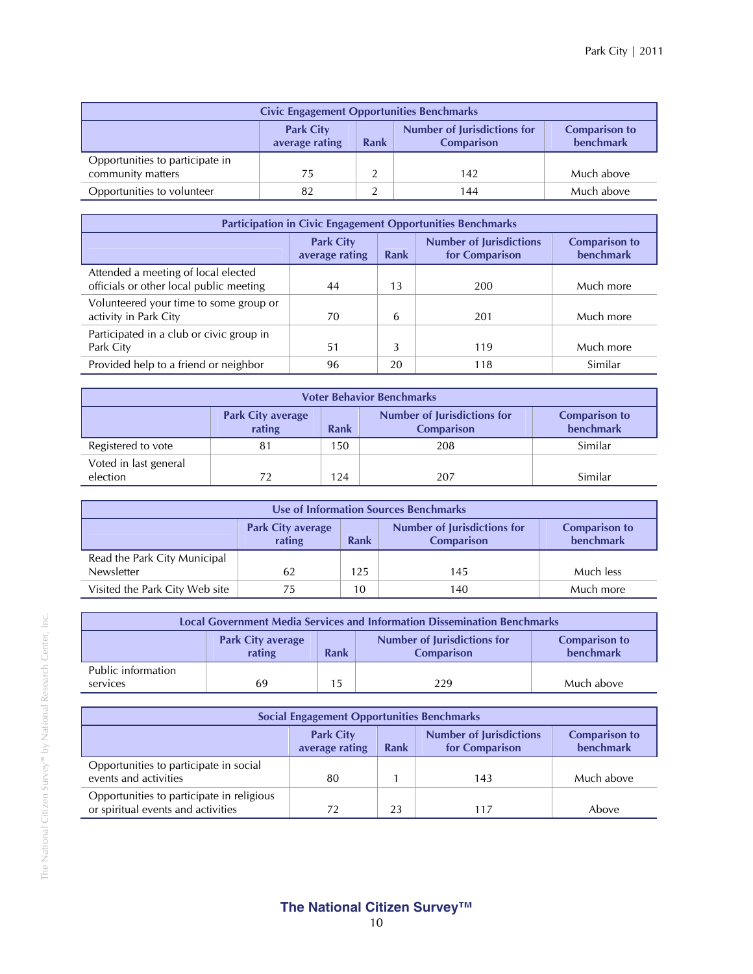| <b>Civic Engagement Opportunities Benchmarks</b>                                                                                                         |    |  |     |            |  |  |
|----------------------------------------------------------------------------------------------------------------------------------------------------------|----|--|-----|------------|--|--|
| <b>Number of Jurisdictions for</b><br><b>Park City</b><br><b>Comparison to</b><br><b>benchmark</b><br><b>Rank</b><br><b>Comparison</b><br>average rating |    |  |     |            |  |  |
| Opportunities to participate in                                                                                                                          |    |  |     |            |  |  |
| community matters                                                                                                                                        | 75 |  | 142 | Much above |  |  |
| Opportunities to volunteer                                                                                                                               | 82 |  | 144 | Much above |  |  |

| <b>Participation in Civic Engagement Opportunities Benchmarks</b>              |                                                                                                                                            |    |     |           |  |  |
|--------------------------------------------------------------------------------|--------------------------------------------------------------------------------------------------------------------------------------------|----|-----|-----------|--|--|
|                                                                                | <b>Number of Jurisdictions</b><br><b>Comparison to</b><br><b>Park City</b><br><b>benchmark</b><br>average rating<br>for Comparison<br>Rank |    |     |           |  |  |
| Attended a meeting of local elected<br>officials or other local public meeting | 44                                                                                                                                         | 13 | 200 | Much more |  |  |
| Volunteered your time to some group or<br>activity in Park City                | 70                                                                                                                                         | 6  | 201 | Much more |  |  |
| Participated in a club or civic group in<br>Park City                          | 51                                                                                                                                         |    | 119 | Much more |  |  |
| Provided help to a friend or neighbor                                          | 96                                                                                                                                         | 20 | 118 | Similar   |  |  |

| <b>Voter Behavior Benchmarks</b>  |                                                                                                                                                          |     |     |         |  |  |  |
|-----------------------------------|----------------------------------------------------------------------------------------------------------------------------------------------------------|-----|-----|---------|--|--|--|
|                                   | <b>Number of Jurisdictions for</b><br><b>Park City average</b><br><b>Comparison to</b><br><b>benchmark</b><br>rating<br><b>Rank</b><br><b>Comparison</b> |     |     |         |  |  |  |
| Registered to vote                |                                                                                                                                                          | 150 | 208 | Similar |  |  |  |
| Voted in last general<br>election | 72                                                                                                                                                       | 124 | 207 | Similar |  |  |  |

| Use of Information Sources Benchmarks                                                                                                             |    |     |     |           |  |  |
|---------------------------------------------------------------------------------------------------------------------------------------------------|----|-----|-----|-----------|--|--|
| <b>Number of Jurisdictions for</b><br><b>Park City average</b><br><b>Comparison to</b><br><b>benchmark</b><br>rating<br>Rank<br><b>Comparison</b> |    |     |     |           |  |  |
| Read the Park City Municipal<br><b>Newsletter</b>                                                                                                 | 62 | 125 | 145 | Much less |  |  |
| Visited the Park City Web site                                                                                                                    | 75 | 10  | 140 | Much more |  |  |

| <b>Local Government Media Services and Information Dissemination Benchmarks</b>                                                                   |    |    |     |            |  |  |
|---------------------------------------------------------------------------------------------------------------------------------------------------|----|----|-----|------------|--|--|
| <b>Number of Jurisdictions for</b><br><b>Comparison to</b><br><b>Park City average</b><br>benchmark<br><b>rating</b><br><b>Comparison</b><br>Rank |    |    |     |            |  |  |
| Public information<br>services                                                                                                                    | 69 | 15 | 229 | Much above |  |  |

| <b>Social Engagement Opportunities Benchmarks</b>                                                                                          |    |    |     |            |  |  |
|--------------------------------------------------------------------------------------------------------------------------------------------|----|----|-----|------------|--|--|
| <b>Number of Jurisdictions</b><br><b>Park City</b><br><b>Comparison to</b><br>benchmark<br>for Comparison<br>average rating<br><b>Rank</b> |    |    |     |            |  |  |
| Opportunities to participate in social<br>events and activities                                                                            | 80 |    | 143 | Much above |  |  |
| Opportunities to participate in religious<br>or spiritual events and activities                                                            | 72 | 23 | 117 | Above      |  |  |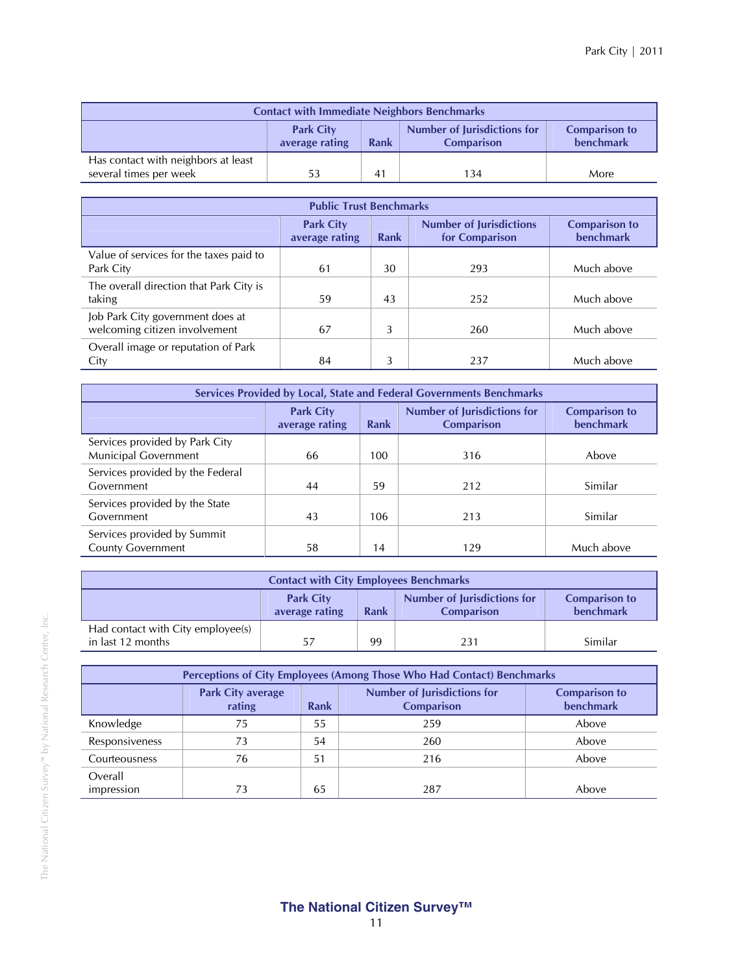| <b>Contact with Immediate Neighbors Benchmarks</b>                                                                                         |    |                |     |      |
|--------------------------------------------------------------------------------------------------------------------------------------------|----|----------------|-----|------|
| Number of Jurisdictions for<br><b>Park City</b><br><b>Comparison to</b><br><b>benchmark</b><br>average rating<br>Rank<br><b>Comparison</b> |    |                |     |      |
| Has contact with neighbors at least<br>several times per week                                                                              | 53 | 4 <sup>1</sup> | 134 | More |

| <b>Public Trust Benchmarks</b>          |                                    |             |                                                  |                                          |  |  |
|-----------------------------------------|------------------------------------|-------------|--------------------------------------------------|------------------------------------------|--|--|
|                                         | <b>Park City</b><br>average rating | <b>Rank</b> | <b>Number of Jurisdictions</b><br>for Comparison | <b>Comparison to</b><br><b>benchmark</b> |  |  |
| Value of services for the taxes paid to |                                    |             |                                                  |                                          |  |  |
| Park City                               | 61                                 | 30          | 293                                              | Much above                               |  |  |
| The overall direction that Park City is |                                    |             |                                                  |                                          |  |  |
| taking                                  | 59                                 | 43          | 252                                              | Much above                               |  |  |
| Job Park City government does at        |                                    |             |                                                  |                                          |  |  |
| welcoming citizen involvement           | 67                                 | 3           | 260                                              | Much above                               |  |  |
| Overall image or reputation of Park     |                                    |             |                                                  |                                          |  |  |
| City                                    | 84                                 | 3           | 237                                              | Much above                               |  |  |

| Services Provided by Local, State and Federal Governments Benchmarks |                                    |      |                                                         |                                          |  |
|----------------------------------------------------------------------|------------------------------------|------|---------------------------------------------------------|------------------------------------------|--|
|                                                                      | <b>Park City</b><br>average rating | Rank | <b>Number of Jurisdictions for</b><br><b>Comparison</b> | <b>Comparison to</b><br><b>benchmark</b> |  |
| Services provided by Park City<br><b>Municipal Government</b>        | 66                                 | 100  | 316                                                     | Above                                    |  |
| Services provided by the Federal<br>Government                       | 44                                 | 59   | 212                                                     | Similar                                  |  |
| Services provided by the State<br>Government                         | 43                                 | 106  | 213                                                     | Similar                                  |  |
| Services provided by Summit<br><b>County Government</b>              | 58                                 | 14   | 129                                                     | Much above                               |  |

| <b>Contact with City Employees Benchmarks</b>                                                                                       |    |    |     |         |  |
|-------------------------------------------------------------------------------------------------------------------------------------|----|----|-----|---------|--|
| <b>Park City</b><br>Number of Jurisdictions for<br><b>Comparison to</b><br>benchmark<br>average rating<br>Rank<br><b>Comparison</b> |    |    |     |         |  |
| Had contact with City employee(s)<br>in last 12 months                                                                              | 57 | 99 | 231 | Similar |  |

| Perceptions of City Employees (Among Those Who Had Contact) Benchmarks |                                    |      |                                                         |                                   |  |  |  |
|------------------------------------------------------------------------|------------------------------------|------|---------------------------------------------------------|-----------------------------------|--|--|--|
|                                                                        | <b>Park City average</b><br>rating | Rank | <b>Number of Jurisdictions for</b><br><b>Comparison</b> | <b>Comparison to</b><br>benchmark |  |  |  |
| Knowledge                                                              | 75                                 | 55   | 259                                                     | Above                             |  |  |  |
| Responsiveness                                                         | 73                                 | 54   | 260                                                     | Above                             |  |  |  |
| Courteousness                                                          | 76                                 | 51   | 216                                                     | Above                             |  |  |  |
| Overall<br>impression                                                  | 73                                 | 65   | 287                                                     | Above                             |  |  |  |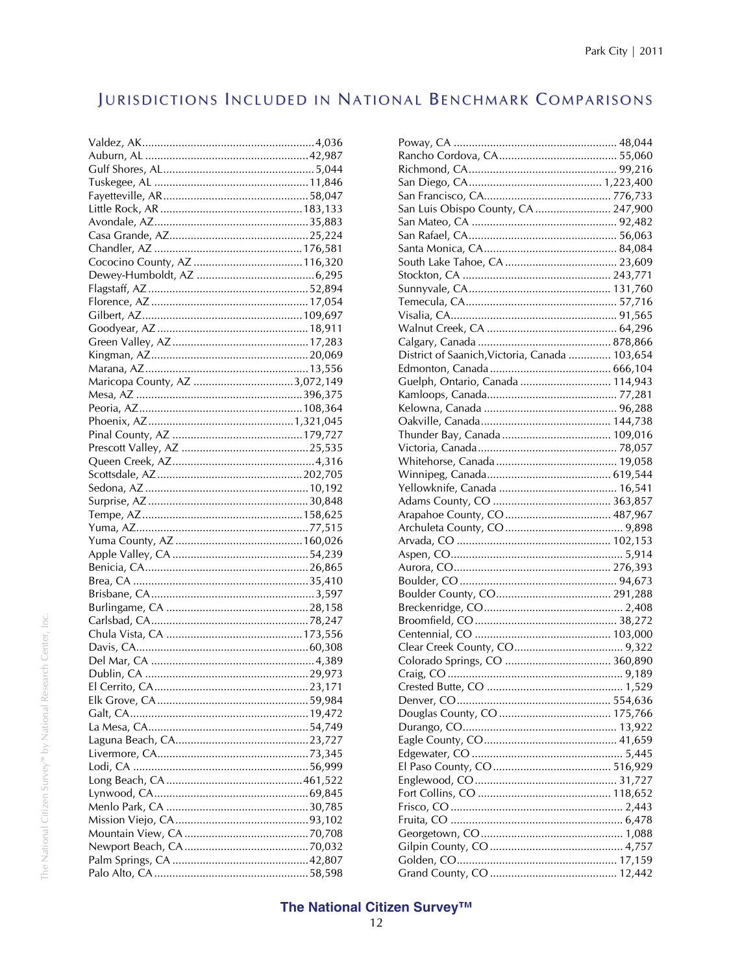# JURISDICTIONS INCLUDED IN NATIONAL BENCHMARK COMPARISONS

| Maricopa County, AZ 3,072,149 |
|-------------------------------|
|                               |
|                               |
|                               |
|                               |
|                               |
|                               |
|                               |
|                               |
|                               |
|                               |
|                               |
|                               |
|                               |
|                               |
|                               |
|                               |
|                               |
|                               |
|                               |
|                               |
|                               |
|                               |
|                               |
|                               |
|                               |
|                               |
|                               |
|                               |
|                               |
|                               |
|                               |
|                               |
|                               |
|                               |
|                               |
|                               |
|                               |
|                               |
|                               |

| San Luis Obispo County, CA  247,900            |  |
|------------------------------------------------|--|
|                                                |  |
|                                                |  |
|                                                |  |
|                                                |  |
|                                                |  |
|                                                |  |
|                                                |  |
|                                                |  |
|                                                |  |
|                                                |  |
| District of Saanich, Victoria, Canada  103,654 |  |
|                                                |  |
| Guelph, Ontario, Canada  114,943               |  |
|                                                |  |
|                                                |  |
|                                                |  |
|                                                |  |
|                                                |  |
|                                                |  |
|                                                |  |
|                                                |  |
|                                                |  |
|                                                |  |
|                                                |  |
|                                                |  |
|                                                |  |
|                                                |  |
|                                                |  |
|                                                |  |
|                                                |  |
|                                                |  |
|                                                |  |
|                                                |  |
|                                                |  |
|                                                |  |
|                                                |  |
|                                                |  |
|                                                |  |
|                                                |  |
|                                                |  |
|                                                |  |
|                                                |  |
|                                                |  |
|                                                |  |
|                                                |  |
|                                                |  |
|                                                |  |
|                                                |  |
|                                                |  |
|                                                |  |
|                                                |  |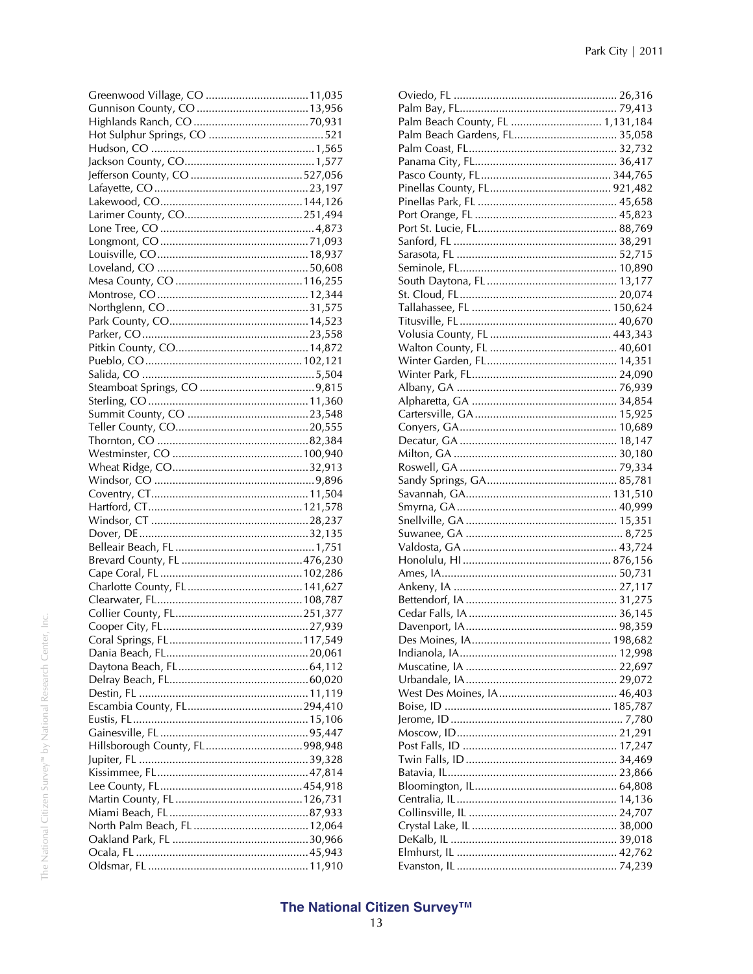| Greenwood Village, CO  11,035 |  |
|-------------------------------|--|
|                               |  |
|                               |  |
|                               |  |
|                               |  |
|                               |  |
|                               |  |
|                               |  |
|                               |  |
|                               |  |
|                               |  |
|                               |  |
|                               |  |
|                               |  |
|                               |  |
|                               |  |
|                               |  |
|                               |  |
|                               |  |
|                               |  |
|                               |  |
|                               |  |
|                               |  |
|                               |  |
|                               |  |
|                               |  |
|                               |  |
|                               |  |
|                               |  |
|                               |  |
|                               |  |
|                               |  |
|                               |  |
|                               |  |
|                               |  |
|                               |  |
|                               |  |
|                               |  |
|                               |  |
|                               |  |
|                               |  |
|                               |  |
|                               |  |
|                               |  |
|                               |  |
|                               |  |
|                               |  |
|                               |  |
|                               |  |
|                               |  |
|                               |  |
|                               |  |
|                               |  |
|                               |  |
|                               |  |
|                               |  |
|                               |  |
|                               |  |
|                               |  |
|                               |  |
|                               |  |
|                               |  |
|                               |  |
|                               |  |
|                               |  |
|                               |  |

| Palm Beach County, FL  1,131,184 |
|----------------------------------|
| Palm Beach Gardens, FL 35,058    |
|                                  |
|                                  |
|                                  |
|                                  |
|                                  |
|                                  |
|                                  |
|                                  |
|                                  |
|                                  |
|                                  |
|                                  |
|                                  |
|                                  |
|                                  |
|                                  |
|                                  |
|                                  |
|                                  |
|                                  |
|                                  |
|                                  |
|                                  |
|                                  |
|                                  |
|                                  |
|                                  |
|                                  |
|                                  |
|                                  |
|                                  |
|                                  |
|                                  |
|                                  |
|                                  |
|                                  |
|                                  |
|                                  |
|                                  |
|                                  |
|                                  |
|                                  |
|                                  |
|                                  |
|                                  |
|                                  |
|                                  |
|                                  |
|                                  |
|                                  |
|                                  |
|                                  |
|                                  |
|                                  |
|                                  |
|                                  |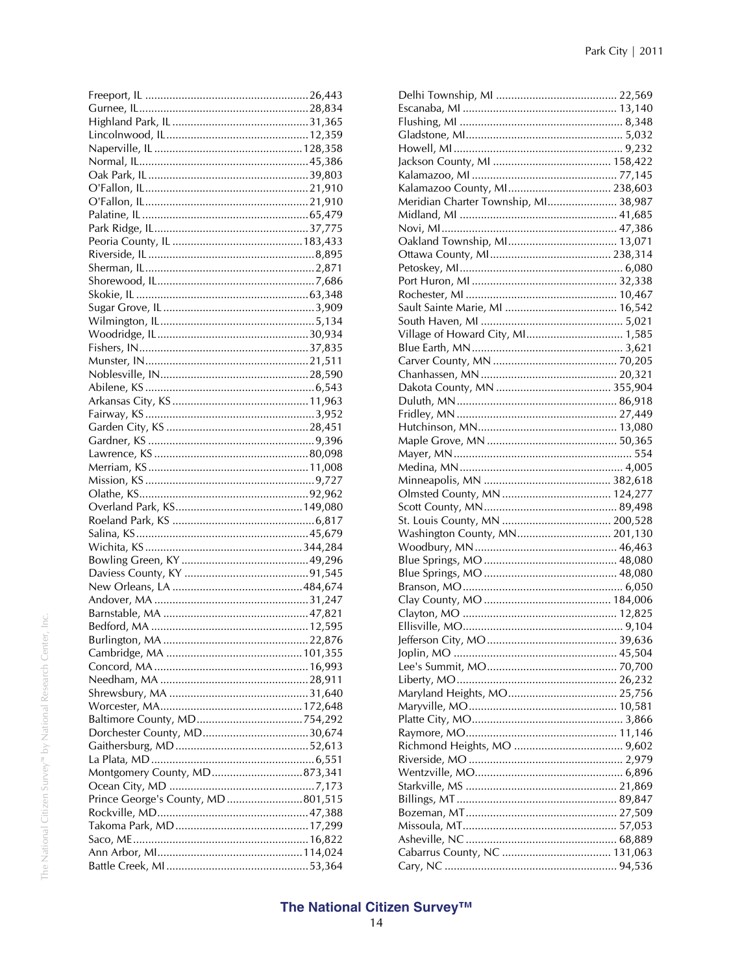| Montgomery County, MD873,341      |  |
|-----------------------------------|--|
|                                   |  |
| Prince George's County, MD801,515 |  |
|                                   |  |
|                                   |  |
|                                   |  |

| Kalamazoo County, MI 238,603         |  |
|--------------------------------------|--|
| Meridian Charter Township, MI 38,987 |  |
|                                      |  |
|                                      |  |
|                                      |  |
|                                      |  |
|                                      |  |
|                                      |  |
|                                      |  |
|                                      |  |
|                                      |  |
| Village of Howard City, M1 1,585     |  |
|                                      |  |
|                                      |  |
|                                      |  |
|                                      |  |
|                                      |  |
|                                      |  |
|                                      |  |
|                                      |  |
|                                      |  |
|                                      |  |
|                                      |  |
|                                      |  |
|                                      |  |
|                                      |  |
| Washington County, MN 201,130        |  |
|                                      |  |
|                                      |  |
|                                      |  |
|                                      |  |
|                                      |  |
|                                      |  |
|                                      |  |
|                                      |  |
|                                      |  |
|                                      |  |
|                                      |  |
|                                      |  |
|                                      |  |
|                                      |  |
|                                      |  |
|                                      |  |
|                                      |  |
|                                      |  |
|                                      |  |
|                                      |  |
|                                      |  |
|                                      |  |
|                                      |  |
|                                      |  |
|                                      |  |
|                                      |  |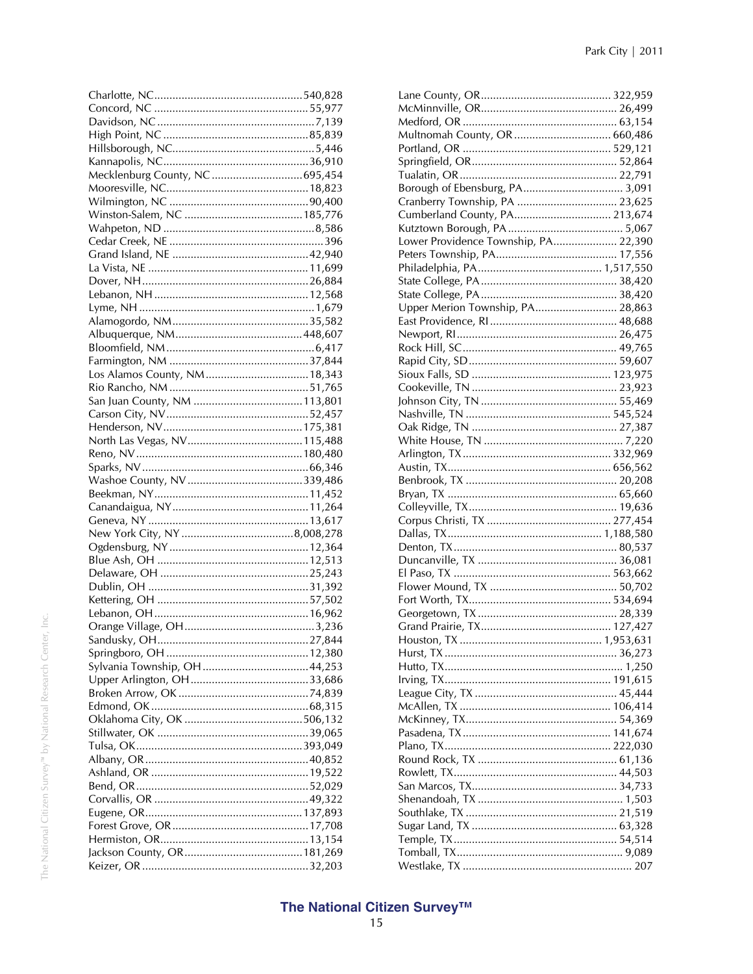| Multnomah County, OR  660,486        |  |
|--------------------------------------|--|
|                                      |  |
|                                      |  |
|                                      |  |
|                                      |  |
| Cranberry Township, PA  23,625       |  |
| Cumberland County, PA 213,674        |  |
|                                      |  |
|                                      |  |
| Lower Providence Township, PA 22,390 |  |
|                                      |  |
|                                      |  |
|                                      |  |
|                                      |  |
| Upper Merion Township, PA 28,863     |  |
|                                      |  |
|                                      |  |
|                                      |  |
|                                      |  |
|                                      |  |
|                                      |  |
|                                      |  |
|                                      |  |
|                                      |  |
|                                      |  |
|                                      |  |
|                                      |  |
|                                      |  |
|                                      |  |
|                                      |  |
|                                      |  |
|                                      |  |
|                                      |  |
|                                      |  |
|                                      |  |
|                                      |  |
|                                      |  |
|                                      |  |
|                                      |  |
|                                      |  |
|                                      |  |
|                                      |  |
|                                      |  |
|                                      |  |
|                                      |  |
|                                      |  |
|                                      |  |
|                                      |  |
|                                      |  |
|                                      |  |
|                                      |  |
|                                      |  |
|                                      |  |
|                                      |  |
|                                      |  |
|                                      |  |
|                                      |  |
|                                      |  |
|                                      |  |
|                                      |  |